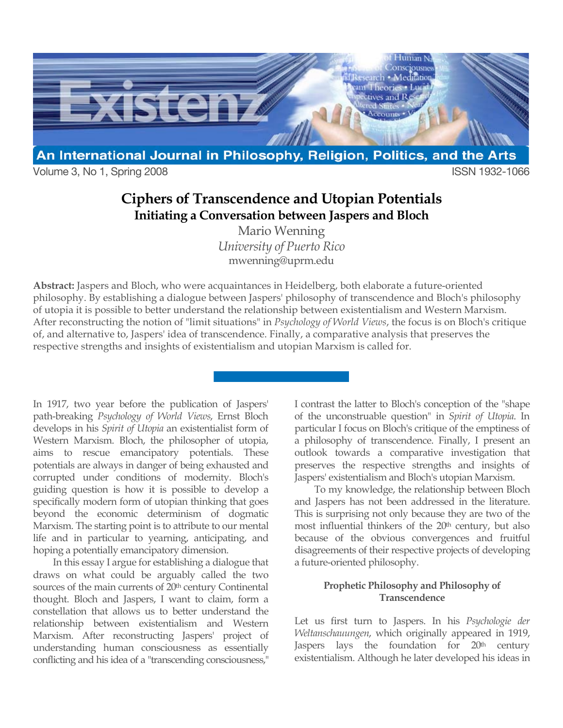

Volume 3, No 1, Spring 2008 **ISSN 1932-1066** 

# **Ciphers of Transcendence and Utopian Potentials Initiating a Conversation between Jaspers and Bloch**

Mario Wenning *University of Puerto Rico* mwenning@uprm.edu

**Abstract:** Jaspers and Bloch, who were acquaintances in Heidelberg, both elaborate a future-oriented philosophy. By establishing a dialogue between Jaspers' philosophy of transcendence and Bloch's philosophy of utopia it is possible to better understand the relationship between existentialism and Western Marxism. After reconstructing the notion of "limit situations" in *Psychology of World Views*, the focus is on Bloch's critique of, and alternative to, Jaspers' idea of transcendence. Finally, a comparative analysis that preserves the respective strengths and insights of existentialism and utopian Marxism is called for.

In 1917, two year before the publication of Jaspers' path-breaking *Psychology of World Views*, Ernst Bloch develops in his *Spirit of Utopia* an existentialist form of Western Marxism. Bloch, the philosopher of utopia, aims to rescue emancipatory potentials. These potentials are always in danger of being exhausted and corrupted under conditions of modernity. Bloch's guiding question is how it is possible to develop a specifically modern form of utopian thinking that goes beyond the economic determinism of dogmatic Marxism. The starting point is to attribute to our mental life and in particular to yearning, anticipating, and hoping a potentially emancipatory dimension.

In this essay I argue for establishing a dialogue that draws on what could be arguably called the two sources of the main currents of 20<sup>th</sup> century Continental thought. Bloch and Jaspers, I want to claim, form a constellation that allows us to better understand the relationship between existentialism and Western Marxism. After reconstructing Jaspers' project of understanding human consciousness as essentially conflicting and his idea of a "transcending consciousness,"

I contrast the latter to Bloch's conception of the "shape of the unconstruable question" in *Spirit of Utopia*. In particular I focus on Bloch's critique of the emptiness of a philosophy of transcendence. Finally, I present an outlook towards a comparative investigation that preserves the respective strengths and insights of Jaspers' existentialism and Bloch's utopian Marxism.

To my knowledge, the relationship between Bloch and Jaspers has not been addressed in the literature. This is surprising not only because they are two of the most influential thinkers of the 20<sup>th</sup> century, but also because of the obvious convergences and fruitful disagreements of their respective projects of developing a future-oriented philosophy.

## **Prophetic Philosophy and Philosophy of Transcendence**

Let us first turn to Jaspers. In his *Psychologie der Weltanschauungen*, which originally appeared in 1919, Jaspers lays the foundation for 20<sup>th</sup> century existentialism. Although he later developed his ideas in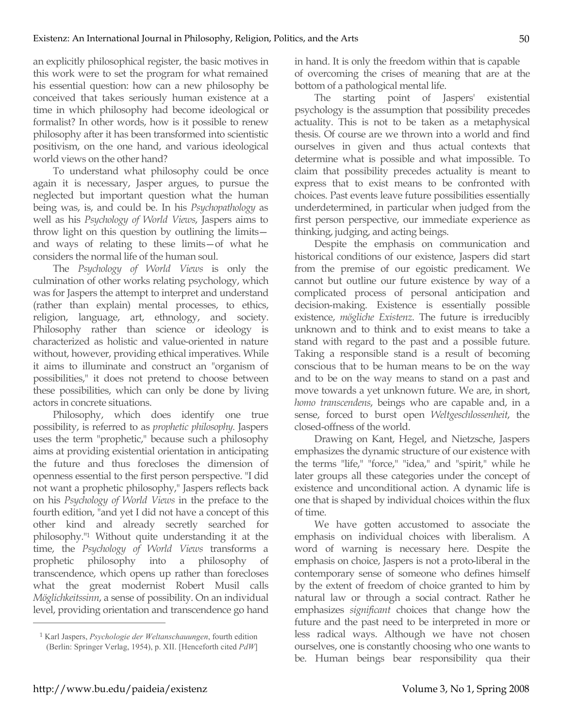an explicitly philosophical register, the basic motives in this work were to set the program for what remained his essential question: how can a new philosophy be conceived that takes seriously human existence at a time in which philosophy had become ideological or formalist? In other words, how is it possible to renew philosophy after it has been transformed into scientistic positivism, on the one hand, and various ideological world views on the other hand?

To understand what philosophy could be once again it is necessary, Jasper argues, to pursue the neglected but important question what the human being was, is, and could be. In his *Psychopathology* as well as his *Psychology of World Views*, Jaspers aims to throw light on this question by outlining the limits and ways of relating to these limits—of what he considers the normal life of the human soul.

The *Psychology of World Views* is only the culmination of other works relating psychology, which was for Jaspers the attempt to interpret and understand (rather than explain) mental processes, to ethics, religion, language, art, ethnology, and society. Philosophy rather than science or ideology is characterized as holistic and value-oriented in nature without, however, providing ethical imperatives. While it aims to illuminate and construct an "organism of possibilities," it does not pretend to choose between these possibilities, which can only be done by living actors in concrete situations.

Philosophy, which does identify one true possibility, is referred to as *prophetic philosophy*. Jaspers uses the term "prophetic," because such a philosophy aims at providing existential orientation in anticipating the future and thus forecloses the dimension of openness essential to the first person perspective. "I did not want a prophetic philosophy," Jaspers reflects back on his *Psychology of World Views* in the preface to the fourth edition, "and yet I did not have a concept of this other kind and already secretly searched for philosophy."1 Without quite understanding it at the time, the *Psychology of World Views* transforms a prophetic philosophy into a philosophy of transcendence, which opens up rather than forecloses what the great modernist Robert Musil calls *Möglichkeitssinn*, a sense of possibility. On an individual level, providing orientation and transcendence go hand in hand. It is only the freedom within that is capable of overcoming the crises of meaning that are at the bottom of a pathological mental life.

The starting point of Jaspers' existential psychology is the assumption that possibility precedes actuality. This is not to be taken as a metaphysical thesis. Of course are we thrown into a world and find ourselves in given and thus actual contexts that determine what is possible and what impossible. To claim that possibility precedes actuality is meant to express that to exist means to be confronted with choices. Past events leave future possibilities essentially underdetermined, in particular when judged from the first person perspective, our immediate experience as thinking, judging, and acting beings.

Despite the emphasis on communication and historical conditions of our existence, Jaspers did start from the premise of our egoistic predicament. We cannot but outline our future existence by way of a complicated process of personal anticipation and decision-making. Existence is essentially possible existence, *mögliche Existenz*. The future is irreducibly unknown and to think and to exist means to take a stand with regard to the past and a possible future. Taking a responsible stand is a result of becoming conscious that to be human means to be on the way and to be on the way means to stand on a past and move towards a yet unknown future. We are, in short, *homo transcendens*, beings who are capable and, in a sense, forced to burst open *Weltgeschlossenheit*, the closed-offness of the world.

Drawing on Kant, Hegel, and Nietzsche, Jaspers emphasizes the dynamic structure of our existence with the terms "life," "force," "idea," and "spirit," while he later groups all these categories under the concept of existence and unconditional action. A dynamic life is one that is shaped by individual choices within the flux of time.

We have gotten accustomed to associate the emphasis on individual choices with liberalism. A word of warning is necessary here. Despite the emphasis on choice, Jaspers is not a proto-liberal in the contemporary sense of someone who defines himself by the extent of freedom of choice granted to him by natural law or through a social contract. Rather he emphasizes *significant* choices that change how the future and the past need to be interpreted in more or less radical ways. Although we have not chosen ourselves, one is constantly choosing who one wants to be. Human beings bear responsibility qua their

<sup>1</sup> Karl Jaspers, *Psychologie der Weltanschauungen*, fourth edition (Berlin: Springer Verlag, 1954), p. XII. [Henceforth cited *PdW*]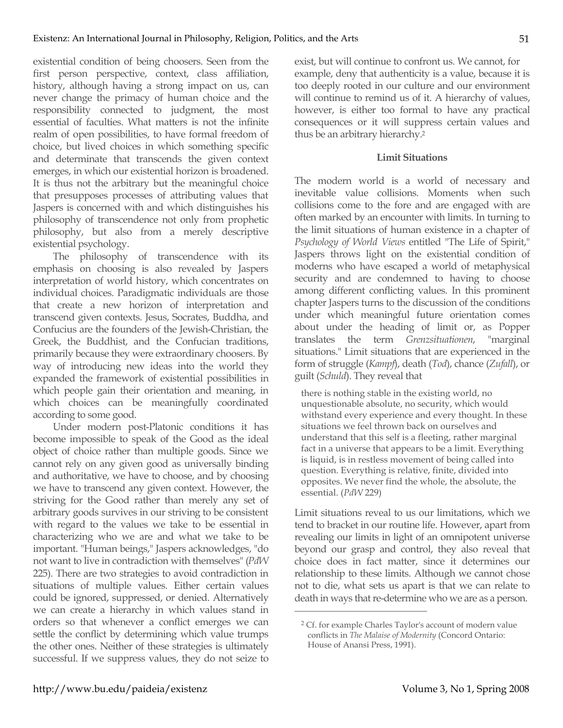existential condition of being choosers. Seen from the first person perspective, context, class affiliation, history, although having a strong impact on us, can never change the primacy of human choice and the responsibility connected to judgment, the most essential of faculties. What matters is not the infinite realm of open possibilities, to have formal freedom of choice, but lived choices in which something specific and determinate that transcends the given context emerges, in which our existential horizon is broadened. It is thus not the arbitrary but the meaningful choice that presupposes processes of attributing values that Jaspers is concerned with and which distinguishes his philosophy of transcendence not only from prophetic philosophy, but also from a merely descriptive existential psychology.

The philosophy of transcendence with its emphasis on choosing is also revealed by Jaspers interpretation of world history, which concentrates on individual choices. Paradigmatic individuals are those that create a new horizon of interpretation and transcend given contexts. Jesus, Socrates, Buddha, and Confucius are the founders of the Jewish-Christian, the Greek, the Buddhist, and the Confucian traditions, primarily because they were extraordinary choosers. By way of introducing new ideas into the world they expanded the framework of existential possibilities in which people gain their orientation and meaning, in which choices can be meaningfully coordinated according to some good.

Under modern post-Platonic conditions it has become impossible to speak of the Good as the ideal object of choice rather than multiple goods. Since we cannot rely on any given good as universally binding and authoritative, we have to choose, and by choosing we have to transcend any given context. However, the striving for the Good rather than merely any set of arbitrary goods survives in our striving to be consistent with regard to the values we take to be essential in characterizing who we are and what we take to be important. "Human beings," Jaspers acknowledges, "do not want to live in contradiction with themselves" (*PdW* 225). There are two strategies to avoid contradiction in situations of multiple values. Either certain values could be ignored, suppressed, or denied. Alternatively we can create a hierarchy in which values stand in orders so that whenever a conflict emerges we can settle the conflict by determining which value trumps the other ones. Neither of these strategies is ultimately successful. If we suppress values, they do not seize to exist, but will continue to confront us. We cannot, for example, deny that authenticity is a value, because it is too deeply rooted in our culture and our environment will continue to remind us of it. A hierarchy of values, however, is either too formal to have any practical consequences or it will suppress certain values and thus be an arbitrary hierarchy.2

### **Limit Situations**

The modern world is a world of necessary and inevitable value collisions. Moments when such collisions come to the fore and are engaged with are often marked by an encounter with limits. In turning to the limit situations of human existence in a chapter of *Psychology of World Views* entitled "The Life of Spirit," Jaspers throws light on the existential condition of moderns who have escaped a world of metaphysical security and are condemned to having to choose among different conflicting values. In this prominent chapter Jaspers turns to the discussion of the conditions under which meaningful future orientation comes about under the heading of limit or, as Popper translates the term *Grenzsituationen*, "marginal situations." Limit situations that are experienced in the form of struggle (*Kampf*), death (*Tod*), chance (*Zufall*), or guilt (*Schuld*). They reveal that

there is nothing stable in the existing world, no unquestionable absolute, no security, which would withstand every experience and every thought. In these situations we feel thrown back on ourselves and understand that this self is a fleeting, rather marginal fact in a universe that appears to be a limit. Everything is liquid, is in restless movement of being called into question. Everything is relative, finite, divided into opposites. We never find the whole, the absolute, the essential. (*PdW* 229)

Limit situations reveal to us our limitations, which we tend to bracket in our routine life. However, apart from revealing our limits in light of an omnipotent universe beyond our grasp and control, they also reveal that choice does in fact matter, since it determines our relationship to these limits. Although we cannot chose not to die, what sets us apart is that we can relate to death in ways that re-determine who we are as a person.

<sup>2</sup> Cf. for example Charles Taylor's account of modern value conflicts in *The Malaise of Modernity* (Concord Ontario: House of Anansi Press, 1991).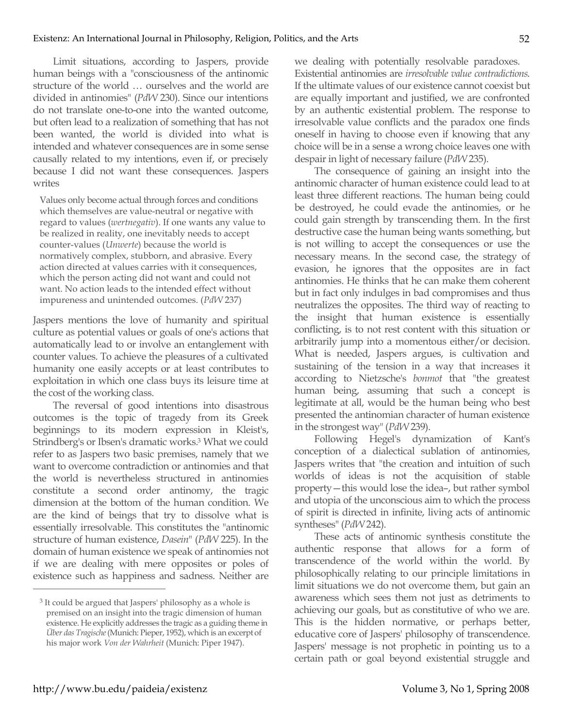Limit situations, according to Jaspers, provide human beings with a "consciousness of the antinomic structure of the world … ourselves and the world are divided in antinomies" (*PdW* 230). Since our intentions do not translate one-to-one into the wanted outcome, but often lead to a realization of something that has not been wanted, the world is divided into what is intended and whatever consequences are in some sense causally related to my intentions, even if, or precisely because I did not want these consequences. Jaspers writes

Values only become actual through forces and conditions which themselves are value-neutral or negative with regard to values (*wertnegativ*). If one wants any value to be realized in reality, one inevitably needs to accept counter-values (*Unwerte*) because the world is normatively complex, stubborn, and abrasive. Every action directed at values carries with it consequences, which the person acting did not want and could not want. No action leads to the intended effect without impureness and unintended outcomes. (*PdW* 237)

Jaspers mentions the love of humanity and spiritual culture as potential values or goals of one's actions that automatically lead to or involve an entanglement with counter values. To achieve the pleasures of a cultivated humanity one easily accepts or at least contributes to exploitation in which one class buys its leisure time at the cost of the working class.

The reversal of good intentions into disastrous outcomes is the topic of tragedy from its Greek beginnings to its modern expression in Kleist's, Strindberg's or Ibsen's dramatic works.3 What we could refer to as Jaspers two basic premises, namely that we want to overcome contradiction or antinomies and that the world is nevertheless structured in antinomies constitute a second order antinomy, the tragic dimension at the bottom of the human condition. We are the kind of beings that try to dissolve what is essentially irresolvable. This constitutes the "antinomic structure of human existence, *Dasein*" (*PdW* 225). In the domain of human existence we speak of antinomies not if we are dealing with mere opposites or poles of existence such as happiness and sadness. Neither are

we dealing with potentially resolvable paradoxes. Existential antinomies are *irresolvable value contradictions*. If the ultimate values of our existence cannot coexist but are equally important and justified, we are confronted by an authentic existential problem. The response to irresolvable value conflicts and the paradox one finds oneself in having to choose even if knowing that any choice will be in a sense a wrong choice leaves one with despair in light of necessary failure (*PdW* 235).

The consequence of gaining an insight into the antinomic character of human existence could lead to at least three different reactions. The human being could be destroyed, he could evade the antinomies, or he could gain strength by transcending them. In the first destructive case the human being wants something, but is not willing to accept the consequences or use the necessary means. In the second case, the strategy of evasion, he ignores that the opposites are in fact antinomies. He thinks that he can make them coherent but in fact only indulges in bad compromises and thus neutralizes the opposites. The third way of reacting to the insight that human existence is essentially conflicting, is to not rest content with this situation or arbitrarily jump into a momentous either/or decision. What is needed, Jaspers argues, is cultivation and sustaining of the tension in a way that increases it according to Nietzsche's *bonmot* that "the greatest human being, assuming that such a concept is legitimate at all, would be the human being who best presented the antinomian character of human existence in the strongest way"(*PdW* 239).

Following Hegel's dynamization of Kant's conception of a dialectical sublation of antinomies, Jaspers writes that "the creation and intuition of such worlds of ideas is not the acquisition of stable property—this would lose the idea–, but rather symbol and utopia of the unconscious aim to which the process of spirit is directed in infinite, living acts of antinomic syntheses" (*PdW* 242).

These acts of antinomic synthesis constitute the authentic response that allows for a form of transcendence of the world within the world. By philosophically relating to our principle limitations in limit situations we do not overcome them, but gain an awareness which sees them not just as detriments to achieving our goals, but as constitutive of who we are. This is the hidden normative, or perhaps better, educative core of Jaspers' philosophy of transcendence. Jaspers' message is not prophetic in pointing us to a certain path or goal beyond existential struggle and

<sup>3</sup> It could be argued that Jaspers' philosophy as a whole is premised on an insight into the tragic dimension of human existence. He explicitly addresses the tragic as a guiding theme in *Über das Tragische* (Munich: Pieper, 1952), which is an excerpt of his major work *Von der Wahrheit* (Munich: Piper 1947).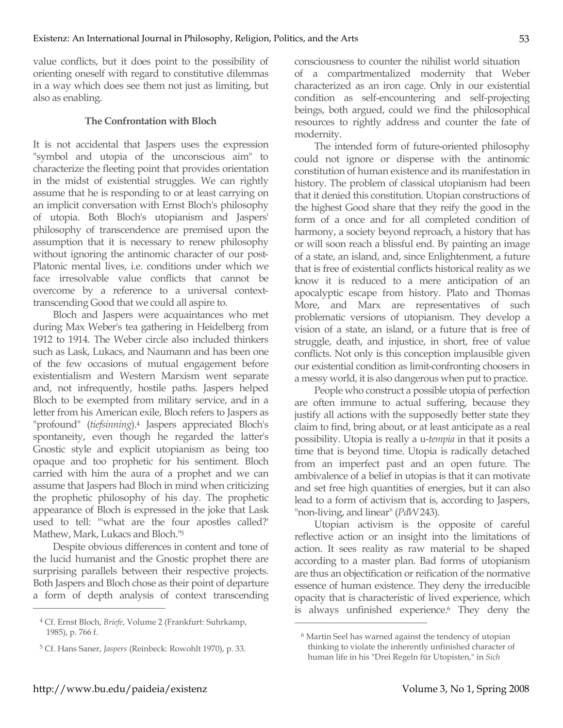value conflicts, but it does point to the possibility of orienting oneself with regard to constitutive dilemmas in a way which does see them not just as limiting, but also as enabling.

### **The Confrontation with Bloch**

It is not accidental that Jaspers uses the expression "symbol and utopia of the unconscious aim" to characterize the fleeting point that provides orientation in the midst of existential struggles. We can rightly assume that he is responding to or at least carrying on an implicit conversation with Ernst Bloch's philosophy of utopia. Both Bloch's utopianism and Jaspers' philosophy of transcendence are premised upon the assumption that it is necessary to renew philosophy without ignoring the antinomic character of our post-Platonic mental lives, i.e. conditions under which we face irresolvable value conflicts that cannot be overcome by a reference to a universal contexttranscending Good that we could all aspire to.

Bloch and Jaspers were acquaintances who met during Max Weber's tea gathering in Heidelberg from 1912 to 1914. The Weber circle also included thinkers such as Lask, Lukacs, and Naumann and has been one of the few occasions of mutual engagement before existentialism and Western Marxism went separate and, not infrequently, hostile paths. Jaspers helped Bloch to be exempted from military service, and in a letter from his American exile, Bloch refers to Jaspers as "profound" (*tiefsinning*).4 Jaspers appreciated Bloch's spontaneity, even though he regarded the latter's Gnostic style and explicit utopianism as being too opaque and too prophetic for his sentiment. Bloch carried with him the aura of a prophet and we can assume that Jaspers had Bloch in mind when criticizing the prophetic philosophy of his day. The prophetic appearance of Bloch is expressed in the joke that Lask used to tell: "'what are the four apostles called?' Mathew, Mark, Lukacs and Bloch."5

Despite obvious differences in content and tone of the lucid humanist and the Gnostic prophet there are surprising parallels between their respective projects. Both Jaspers and Bloch chose as their point of departure a form of depth analysis of context transcending consciousness to counter the nihilist world situation of a compartmentalized modernity that Weber characterized as an iron cage. Only in our existential condition as self-encountering and self-projecting beings, both argued, could we find the philosophical resources to rightly address and counter the fate of modernity.

The intended form of future-oriented philosophy could not ignore or dispense with the antinomic constitution of human existence and its manifestation in history. The problem of classical utopianism had been that it denied this constitution. Utopian constructions of the highest Good share that they reify the good in the form of a once and for all completed condition of harmony, a society beyond reproach, a history that has or will soon reach a blissful end. By painting an image of a state, an island, and, since Enlightenment, a future that is free of existential conflicts historical reality as we know it is reduced to a mere anticipation of an apocalyptic escape from history. Plato and Thomas More, and Marx are representatives of such problematic versions of utopianism. They develop a vision of a state, an island, or a future that is free of struggle, death, and injustice, in short, free of value conflicts. Not only is this conception implausible given our existential condition as limit-confronting choosers in a messy world, it is also dangerous when put to practice.

People who construct a possible utopia of perfection are often immune to actual suffering, because they justify all actions with the supposedly better state they claim to find, bring about, or at least anticipate as a real possibility. Utopia is really a u-*tempia* in that it posits a time that is beyond time. Utopia is radically detached from an imperfect past and an open future. The ambivalence of a belief in utopias is that it can motivate and set free high quantities of energies, but it can also lead to a form of activism that is, according to Jaspers, "non-living, and linear" (*PdW* 243).

Utopian activism is the opposite of careful reflective action or an insight into the limitations of action. It sees reality as raw material to be shaped according to a master plan. Bad forms of utopianism are thus an objectification or reification of the normative essence of human existence. They deny the irreducible opacity that is characteristic of lived experience, which is always unfinished experience.<sup>6</sup> They deny the

 $\overline{a}$ 

<sup>4</sup> Cf. Ernst Bloch, *Briefe*, Volume 2 (Frankfurt: Suhrkamp, 1985), p. 766 f.

<sup>5</sup> Cf. Hans Saner, *Jaspers* (Reinbeck: Rowohlt 1970), p. 33.

<sup>6</sup> Martin Seel has warned against the tendency of utopian thinking to violate the inherently unfinished character of human life in his "Drei Regeln für Utopisten," in *Sich*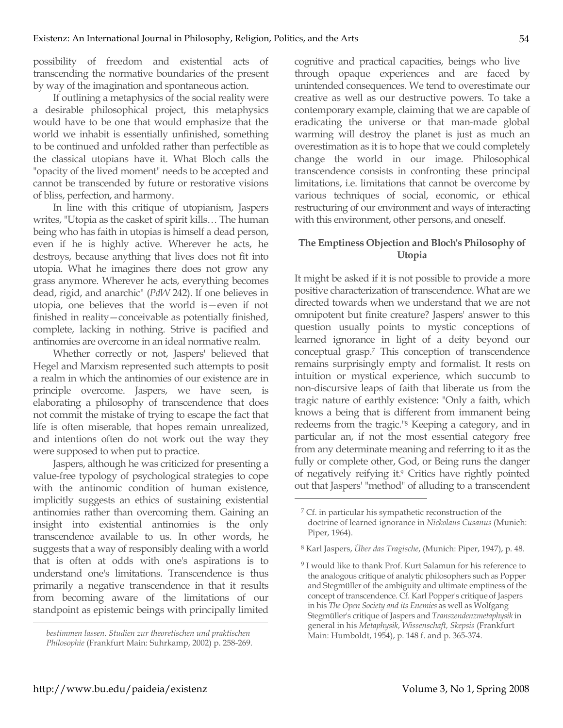possibility of freedom and existential acts of transcending the normative boundaries of the present by way of the imagination and spontaneous action.

If outlining a metaphysics of the social reality were a desirable philosophical project, this metaphysics would have to be one that would emphasize that the world we inhabit is essentially unfinished, something to be continued and unfolded rather than perfectible as the classical utopians have it. What Bloch calls the "opacity of the lived moment" needs to be accepted and cannot be transcended by future or restorative visions of bliss, perfection, and harmony.

In line with this critique of utopianism, Jaspers writes, "Utopia as the casket of spirit kills… The human being who has faith in utopias is himself a dead person, even if he is highly active. Wherever he acts, he destroys, because anything that lives does not fit into utopia. What he imagines there does not grow any grass anymore. Wherever he acts, everything becomes dead, rigid, and anarchic" (*PdW* 242). If one believes in utopia, one believes that the world is—even if not finished in reality—conceivable as potentially finished, complete, lacking in nothing. Strive is pacified and antinomies are overcome in an ideal normative realm.

Whether correctly or not, Jaspers' believed that Hegel and Marxism represented such attempts to posit a realm in which the antinomies of our existence are in principle overcome. Jaspers, we have seen, is elaborating a philosophy of transcendence that does not commit the mistake of trying to escape the fact that life is often miserable, that hopes remain unrealized, and intentions often do not work out the way they were supposed to when put to practice.

Jaspers, although he was criticized for presenting a value-free typology of psychological strategies to cope with the antinomic condition of human existence, implicitly suggests an ethics of sustaining existential antinomies rather than overcoming them. Gaining an insight into existential antinomies is the only transcendence available to us. In other words, he suggests that a way of responsibly dealing with a world that is often at odds with one's aspirations is to understand one's limitations. Transcendence is thus primarily a negative transcendence in that it results from becoming aware of the limitations of our standpoint as epistemic beings with principally limited cognitive and practical capacities, beings who live through opaque experiences and are faced by unintended consequences. We tend to overestimate our creative as well as our destructive powers. To take a contemporary example, claiming that we are capable of eradicating the universe or that man-made global warming will destroy the planet is just as much an overestimation as it is to hope that we could completely change the world in our image. Philosophical transcendence consists in confronting these principal limitations, i.e. limitations that cannot be overcome by various techniques of social, economic, or ethical restructuring of our environment and ways of interacting with this environment, other persons, and oneself.

## **The Emptiness Objection and Bloch's Philosophy of Utopia**

It might be asked if it is not possible to provide a more positive characterization of transcendence. What are we directed towards when we understand that we are not omnipotent but finite creature? Jaspers' answer to this question usually points to mystic conceptions of learned ignorance in light of a deity beyond our conceptual grasp.7 This conception of transcendence remains surprisingly empty and formalist. It rests on intuition or mystical experience, which succumb to non-discursive leaps of faith that liberate us from the tragic nature of earthly existence: "Only a faith, which knows a being that is different from immanent being redeems from the tragic."8 Keeping a category, and in particular an, if not the most essential category free from any determinate meaning and referring to it as the fully or complete other, God, or Being runs the danger of negatively reifying it.9 Critics have rightly pointed out that Jaspers' "method" of alluding to a transcendent

 $\overline{a}$ 

*bestimmen lassen. Studien zur theoretischen und praktischen Philosophie* (Frankfurt Main: Suhrkamp, 2002) p. 258-269.

<sup>7</sup> Cf. in particular his sympathetic reconstruction of the doctrine of learned ignorance in *Nickolaus Cusanus* (Munich: Piper, 1964).

<sup>8</sup> Karl Jaspers, *Über das Tragische*, (Munich: Piper, 1947), p. 48.

<sup>&</sup>lt;sup>9</sup> I would like to thank Prof. Kurt Salamun for his reference to the analogous critique of analytic philosophers such as Popper and Stegmüller of the ambiguity and ultimate emptiness of the concept of transcendence. Cf. Karl Popper's critique of Jaspers in his *The Open Society and its Enemies* as well as Wolfgang Stegmüller's critique of Jaspers and *Transzendenzmetaphysik* in general in his *Metaphysik, Wissenschaft, Skepsis* (Frankfurt Main: Humboldt, 1954), p. 148 f. and p. 365-374.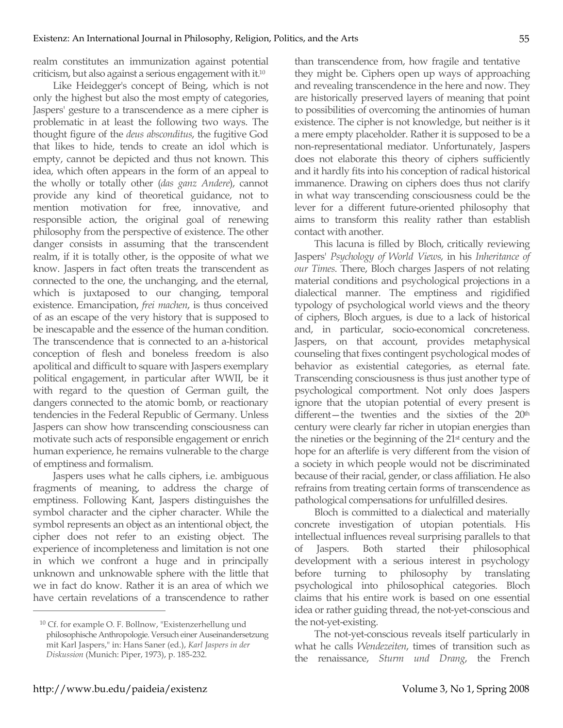realm constitutes an immunization against potential criticism, but also against a serious engagement with it.10

Like Heidegger's concept of Being, which is not only the highest but also the most empty of categories, Jaspers' gesture to a transcendence as a mere cipher is problematic in at least the following two ways. The thought figure of the *deus absconditus*, the fugitive God that likes to hide, tends to create an idol which is empty, cannot be depicted and thus not known. This idea, which often appears in the form of an appeal to the wholly or totally other (*das ganz Andere*), cannot provide any kind of theoretical guidance, not to mention motivation for free, innovative, and responsible action, the original goal of renewing philosophy from the perspective of existence. The other danger consists in assuming that the transcendent realm, if it is totally other, is the opposite of what we know. Jaspers in fact often treats the transcendent as connected to the one, the unchanging, and the eternal, which is juxtaposed to our changing, temporal existence. Emancipation, *frei machen*, is thus conceived of as an escape of the very history that is supposed to be inescapable and the essence of the human condition. The transcendence that is connected to an a-historical conception of flesh and boneless freedom is also apolitical and difficult to square with Jaspers exemplary political engagement, in particular after WWII, be it with regard to the question of German guilt, the dangers connected to the atomic bomb, or reactionary tendencies in the Federal Republic of Germany. Unless Jaspers can show how transcending consciousness can motivate such acts of responsible engagement or enrich human experience, he remains vulnerable to the charge of emptiness and formalism.

Jaspers uses what he calls ciphers, i.e. ambiguous fragments of meaning, to address the charge of emptiness. Following Kant, Jaspers distinguishes the symbol character and the cipher character. While the symbol represents an object as an intentional object, the cipher does not refer to an existing object. The experience of incompleteness and limitation is not one in which we confront a huge and in principally unknown and unknowable sphere with the little that we in fact do know. Rather it is an area of which we have certain revelations of a transcendence to rather than transcendence from, how fragile and tentative they might be. Ciphers open up ways of approaching and revealing transcendence in the here and now. They are historically preserved layers of meaning that point to possibilities of overcoming the antinomies of human existence. The cipher is not knowledge, but neither is it a mere empty placeholder. Rather it is supposed to be a non-representational mediator. Unfortunately, Jaspers does not elaborate this theory of ciphers sufficiently and it hardly fits into his conception of radical historical immanence. Drawing on ciphers does thus not clarify in what way transcending consciousness could be the lever for a different future-oriented philosophy that aims to transform this reality rather than establish contact with another.

This lacuna is filled by Bloch, critically reviewing Jaspers' *Psychology of World Views*, in his *Inheritance of our Times*. There, Bloch charges Jaspers of not relating material conditions and psychological projections in a dialectical manner. The emptiness and rigidified typology of psychological world views and the theory of ciphers, Bloch argues, is due to a lack of historical and, in particular, socio-economical concreteness. Jaspers, on that account, provides metaphysical counseling that fixes contingent psychological modes of behavior as existential categories, as eternal fate. Transcending consciousness is thus just another type of psychological comportment. Not only does Jaspers ignore that the utopian potential of every present is different—the twenties and the sixties of the 20<sup>th</sup> century were clearly far richer in utopian energies than the nineties or the beginning of the 21st century and the hope for an afterlife is very different from the vision of a society in which people would not be discriminated because of their racial, gender, or class affiliation. He also refrains from treating certain forms of transcendence as pathological compensations for unfulfilled desires.

Bloch is committed to a dialectical and materially concrete investigation of utopian potentials. His intellectual influences reveal surprising parallels to that of Jaspers. Both started their philosophical development with a serious interest in psychology before turning to philosophy by translating psychological into philosophical categories. Bloch claims that his entire work is based on one essential idea or rather guiding thread, the not-yet-conscious and the not-yet-existing.

The not-yet-conscious reveals itself particularly in what he calls *Wendezeiten*, times of transition such as the renaissance, *Sturm und Drang*, the French

<sup>10</sup> Cf. for example O. F. Bollnow, "Existenzerhellung und philosophische Anthropologie. Versuch einer Auseinandersetzung mit Karl Jaspers," in: Hans Saner (ed.), *Karl Jaspers in der Diskussion* (Munich: Piper, 1973), p. 185-232.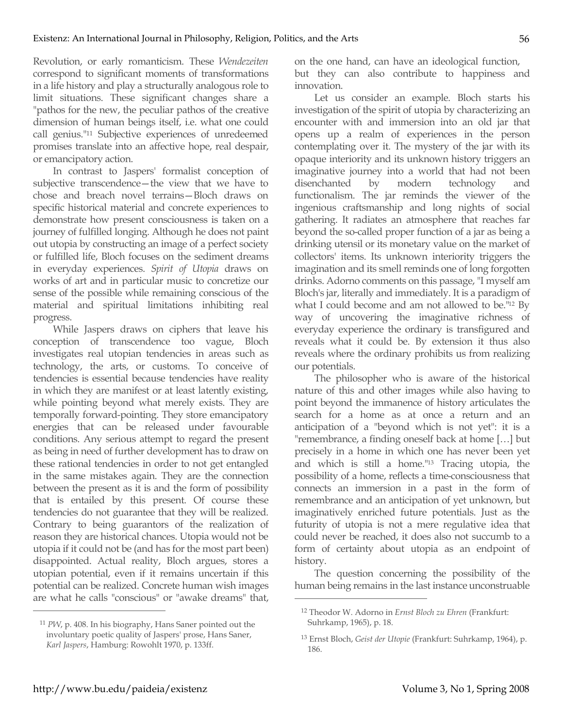Revolution, or early romanticism. These *Wendezeiten* correspond to significant moments of transformations in a life history and play a structurally analogous role to limit situations. These significant changes share a "pathos for the new, the peculiar pathos of the creative dimension of human beings itself, i.e. what one could call genius."11 Subjective experiences of unredeemed promises translate into an affective hope, real despair, or emancipatory action.

In contrast to Jaspers' formalist conception of subjective transcendence—the view that we have to chose and breach novel terrains—Bloch draws on specific historical material and concrete experiences to demonstrate how present consciousness is taken on a journey of fulfilled longing. Although he does not paint out utopia by constructing an image of a perfect society or fulfilled life, Bloch focuses on the sediment dreams in everyday experiences. *Spirit of Utopia* draws on works of art and in particular music to concretize our sense of the possible while remaining conscious of the material and spiritual limitations inhibiting real progress.

While Jaspers draws on ciphers that leave his conception of transcendence too vague, Bloch investigates real utopian tendencies in areas such as technology, the arts, or customs. To conceive of tendencies is essential because tendencies have reality in which they are manifest or at least latently existing, while pointing beyond what merely exists. They are temporally forward-pointing. They store emancipatory energies that can be released under favourable conditions. Any serious attempt to regard the present as being in need of further development has to draw on these rational tendencies in order to not get entangled in the same mistakes again. They are the connection between the present as it is and the form of possibility that is entailed by this present. Of course these tendencies do not guarantee that they will be realized. Contrary to being guarantors of the realization of reason they are historical chances. Utopia would not be utopia if it could not be (and has for the most part been) disappointed. Actual reality, Bloch argues, stores a utopian potential, even if it remains uncertain if this potential can be realized. Concrete human wish images are what he calls "conscious" or "awake dreams" that,

<sup>11</sup> *PW*, p. 408. In his biography, Hans Saner pointed out the involuntary poetic quality of Jaspers' prose, Hans Saner, *Karl Jaspers*, Hamburg: Rowohlt 1970, p. 133ff.

on the one hand, can have an ideological function, but they can also contribute to happiness and innovation.

Let us consider an example. Bloch starts his investigation of the spirit of utopia by characterizing an encounter with and immersion into an old jar that opens up a realm of experiences in the person contemplating over it. The mystery of the jar with its opaque interiority and its unknown history triggers an imaginative journey into a world that had not been disenchanted by modern technology and functionalism. The jar reminds the viewer of the ingenious craftsmanship and long nights of social gathering. It radiates an atmosphere that reaches far beyond the so-called proper function of a jar as being a drinking utensil or its monetary value on the market of collectors' items. Its unknown interiority triggers the imagination and its smell reminds one of long forgotten drinks. Adorno comments on this passage, "I myself am Bloch's jar, literally and immediately. It is a paradigm of what I could become and am not allowed to be.<sup>"12</sup> By way of uncovering the imaginative richness of everyday experience the ordinary is transfigured and reveals what it could be. By extension it thus also reveals where the ordinary prohibits us from realizing our potentials.

The philosopher who is aware of the historical nature of this and other images while also having to point beyond the immanence of history articulates the search for a home as at once a return and an anticipation of a "beyond which is not yet": it is a "remembrance, a finding oneself back at home […] but precisely in a home in which one has never been yet and which is still a home."13 Tracing utopia, the possibility of a home, reflects a time-consciousness that connects an immersion in a past in the form of remembrance and an anticipation of yet unknown, but imaginatively enriched future potentials. Just as the futurity of utopia is not a mere regulative idea that could never be reached, it does also not succumb to a form of certainty about utopia as an endpoint of history.

The question concerning the possibility of the human being remains in the last instance unconstruable

 $\overline{a}$ 

<sup>12</sup> Theodor W. Adorno in *Ernst Bloch zu Ehren* (Frankfurt: Suhrkamp, 1965), p. 18.

<sup>13</sup> Ernst Bloch, *Geist der Utopie* (Frankfurt: Suhrkamp, 1964), p. 186.